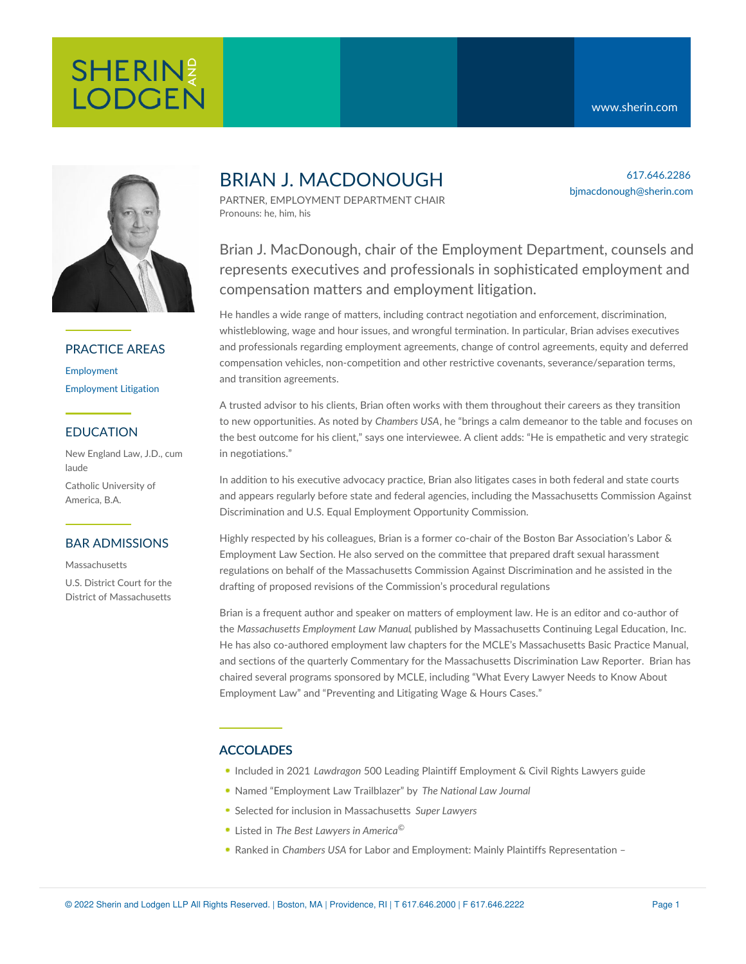bjmacdonough@sherin.com

617.646.2286



## PRACTICE AREAS

[Employment](https://www.sherin.com/practice-areas/employment/) [Employment](https://www.sherin.com/practice-areas/litigation/employment-litigation/) Litigation

### EDUCATION

New England Law, J.D., cum laude

Catholic University of America, B.A.

#### BAR ADMISSIONS

Massachusetts

U.S. District Court for the District of Massachusetts

# BRIAN J. MACDONOUGH

PARTNER, EMPLOYMENT DEPARTMENT CHAIR Pronouns: he, him, his

Brian J. MacDonough, chair of the Employment Department, counsels and represents executives and professionals in sophisticated employment and compensation matters and employment litigation.

He handles a wide range of matters, including contract negotiation and enforcement, discrimination, whistleblowing, wage and hour issues, and wrongful termination. In particular, Brian advises executives and professionals regarding employment agreements, change of control agreements, equity and deferred compensation vehicles, non-competition and other restrictive covenants, severance/separation terms, and transition agreements.

A trusted advisor to his clients, Brian often works with them throughout their careers as they transition to new opportunities. As noted by *Chambers USA*, he "brings a calm demeanor to the table and focuses on the best outcome for his client," says one interviewee. A client adds: "He is empathetic and very strategic in negotiations."

In addition to his executive advocacy practice, Brian also litigates cases in both federal and state courts and appears regularly before state and federal agencies, including the Massachusetts Commission Against Discrimination and U.S. Equal Employment Opportunity Commission.

Highly respected by his colleagues, Brian is a former co-chair of the Boston Bar Association's Labor & Employment Law Section. He also served on the committee that prepared draft sexual harassment regulations on behalf of the Massachusetts Commission Against Discrimination and he assisted in the drafting of proposed revisions of the Commission's procedural regulations

Brian is a frequent author and speaker on matters of employment law. He is an editor and co-author of the *Massachusetts Employment Law Manual*, published by Massachusetts Continuing Legal Education, Inc. He has also co-authored employment law chapters for the MCLE's Massachusetts Basic Practice Manual, and sections of the quarterly Commentary for the Massachusetts Discrimination Law Reporter. Brian has chaired several programs sponsored by MCLE, including "What Every Lawyer Needs to Know About Employment Law" and "Preventing and Litigating Wage & Hours Cases."

## ACCOLADES

- Included in 2021 *Lawdragon* 500 Leading Plaintiff Employment & Civil Rights Lawyers guide
- Named "Employment Law Trailblazer" by *The National Law Journal*
- Selected for inclusion in Massachusetts *Super Lawyers*
- Listed in *The Best Lawyers in America* ©
- Ranked in *Chambers USA* for Labor and Employment: Mainly Plaintiffs Representation –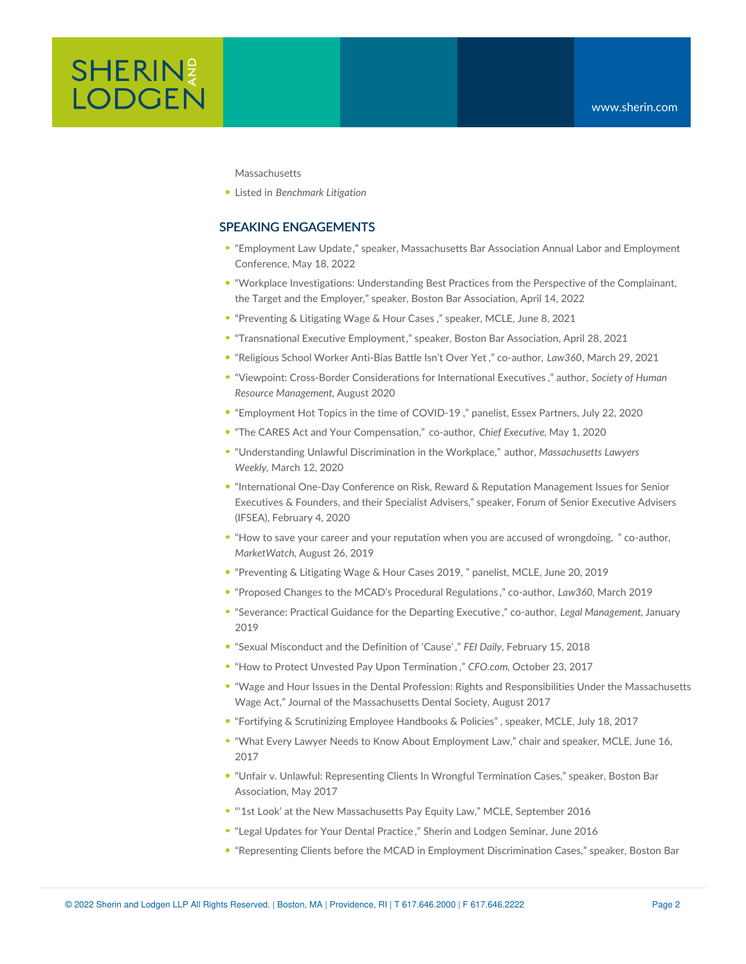

Massachusetts

Listed in *Benchmark Litigation*

## SPEAKING ENGAGEMENTS

- "[Employment](https://www.massbar.org/education/43rd-annual-labor-employment-spring-conference) Law Update," speaker, Massachusetts Bar Association Annual Labor and Employment Conference, May 18, 2022
- "Workplace Investigations: [Understanding](https://www.sherin.com/firm-news/brian-j-macdonough-presents-at-bba-webinar-on-workplace-investigations/) Best Practices from the Perspective of the Complainant, the Target and the Employer," speaker, Boston Bar Association, April 14, 2022
- "[Preventing](https://www.mcle.org/product/catalog/code/2210279RB1) & Litigating Wage & Hour Cases ," speaker, MCLE, June 8, 2021
- "[Transnational](https://bostonbar.org/membership/events/event-details?ID=37490) Executive Employment," speaker, Boston Bar Association, April 28, 2021
- "Religious School Worker [Anti-Bias](https://www.sherin.com/wp-content/uploads/2021/04/NSS-Religious-School-Worker-Anti-Bias-Battle-Isnt-Over-Yet.pdf) Battle Isn't Over Yet ," co-author, *Law360*, March 29, 2021
- "Viewpoint: Cross-Border [Considerations](https://www.shrm.org/resourcesandtools/hr-topics/global-hr/pages/cross-border-considerations-executives.aspx) for International Executives ," author, *Society of Human Resource Management*, August 2020
- "[Employment](https://youtu.be/MQoJEPrTFm8) Hot Topics in the time of COVID-19 ," panelist, Essex Partners, July 22, 2020
- "The CARES Act and Your [Compensation,"](https://www.sherin.com/firm-news/brian-j-macdonough-and-nancy-s-shilepsky-published-in-chief-executive-on-how-the-cares-act-could-impact-executive-compensation/) co-author, *Chief Executive,* May 1, 2020
- "[Understanding](https://www.sherin.com/wp-content/uploads/2020/03/BJM-MLW-3-12-2020.pdf) Unlawful Discrimination in the Workplace," author, *Massachusetts Lawyers Weekly,* March 12, 2020
- ["International](https://www.sherin.com/firm-news/brian-j-macdonough-presents-at-international-forum-of-senior-executive-advisers-inaugural-conference/) One-Day Conference on Risk, Reward & Reputation Management Issues for Senior Executives & Founders, and their Specialist Advisers," speaker, Forum of Senior Executive Advisers (IFSEA), February 4, 2020
- "How to save your career and your reputation when you are accused of [wrongdoing,](https://www.sherin.com/firm-news/brian-j-macdonough-and-jaclyn-l-mcneely-published-in-marketwatch-on-protecting-your-career/) " co-author, *MarketWatch*, August 26, 2019
- "[Preventing](https://www.mcle.org/includes/pdf/2190278RBC_J.pdf) & Litigating Wage & Hour Cases 2019, " panelist, MCLE, June 20, 2019
- "Proposed Changes to the MCAD's Procedural [Regulations](https://www.sherin.com/employment-blog/2019/03/11/proposed-changes-to-the-mcads-procedural-regulations/) ," co-author, *Law360,* March 2019
- "[Severance:](https://www.sherin.com/wp-content/uploads/2015/05/Severance.-Practical-Guidance-for-the-Departing-Executive-00865744.pdf) Practical Guidance for the Departing Executive ," co-author, *Legal Management*, January 2019
- "Sexual [Misconduct](https://www.financialexecutives.org/FEI-Daily/February-2018/Sexual-Misconduct-and-the-Definition-of-Cause%25E2%2580%259D.aspx) and the Definition of 'Cause' ," *FEI Daily*, February 15, 2018
- "How to Protect Unvested Pay Upon [Termination](http://ww2.cfo.com/compensation/2017/10/protect-unvested-pay-upon-termination/) ," *CFO.com*, October 23, 2017
- "Wage and Hour Issues in the Dental Profession: Rights and [Responsibilities](https://www.sherin.com/wp-content/uploads/2017/09/Massachusetts-Dental-Society-Journal-Summer-2017.pdf) Under the Massachusetts Wage Act," Journal of the Massachusetts Dental Society, August 2017
- "Fortifying & [Scrutinizing](https://www.mcle.org/product/catalog/code/2170452P01) Employee Handbooks & Policies" , speaker, MCLE, July 18, 2017
- "What Every Lawyer Needs to Know About Employment Law," chair and speaker, MCLE, June 16, 2017
- "Unfair v. Unlawful: Representing Clients In Wrongful Termination Cases," speaker, Boston Bar Association, May 2017
- "'1st Look' at the New Massachusetts Pay Equity Law," MCLE, September 2016
- "Legal [Updates](http://www.slideshare.net/CarolineVonFlatern/legal-updates-for-your-dental-practice) for Your Dental Practice ," Sherin and Lodgen Seminar, June 2016
- "Representing Clients before the MCAD in Employment Discrimination Cases," speaker, Boston Bar